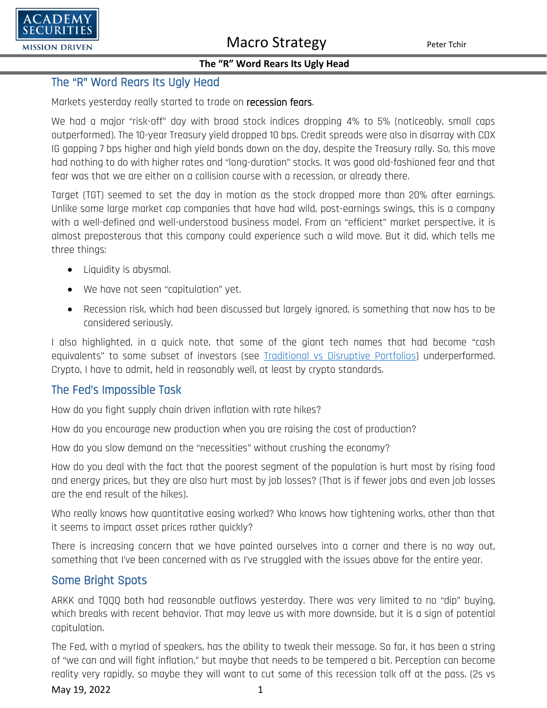

### **The "R" Word Rears Its Ugly Head**

# The "R" Word Rears Its Ugly Head

Markets yesterday really started to trade on recession fears.

We had a major "risk-off" day with broad stock indices dropping 4% to 5% (noticeably, small caps outperformed). The 10-year Treasury yield dropped 10 bps. Credit spreads were also in disarray with CDX IG gapping 7 bps higher and high yield bonds down on the day, despite the Treasury rally. So, this move had nothing to do with higher rates and "long-duration" stocks. It was good old-fashioned fear and that fear was that we are either on a collision course with a recession, or already there.

Target (TGT) seemed to set the day in motion as the stock dropped more than 20% after earnings. Unlike some large market cap companies that have had wild, post-earnings swings, this is a company with a well-defined and well-understood business model. From an "efficient" market perspective, it is almost preposterous that this company could experience such a wild move. But it did, which tells me three things:

- Liquidity is abysmal.
- We have not seen "capitulation" yet.
- Recession risk, which had been discussed but largely ignored, is something that now has to be considered seriously.

I also highlighted, in a quick note, that some of the giant tech names that had become "cash equivalents" to some subset of investors (see [Traditional vs Disruptive Portfolios\)](https://www.academysecurities.com/wordpress/wp-content/uploads/2022/05/Traditional-vs-Disruptive-Portfolio-Construction.pdf) underperformed. Crypto, I have to admit, held in reasonably well, at least by crypto standards.

### The Fed's Impossible Task

How do you fight supply chain driven inflation with rate hikes?

How do you encourage new production when you are raising the cost of production?

How do you slow demand on the "necessities" without crushing the economy?

How do you deal with the fact that the poorest segment of the population is hurt most by rising food and energy prices, but they are also hurt most by job losses? (That is if fewer jobs and even job losses are the end result of the hikes).

Who really knows how quantitative easing worked? Who knows how tightening works, other than that it seems to impact asset prices rather quickly?

There is increasing concern that we have painted ourselves into a corner and there is no way out, something that I've been concerned with as I've struggled with the issues above for the entire year.

# Some Bright Spots

ARKK and TQQQ both had reasonable outflows yesterday. There was very limited to no "dip" buying, which breaks with recent behavior. That may leave us with more downside, but it is a sign of potential capitulation.

The Fed, with a myriad of speakers, has the ability to tweak their message. So far, it has been a string of "we can and will fight inflation," but maybe that needs to be tempered a bit. Perception can become reality very rapidly, so maybe they will want to cut some of this recession talk off at the pass. (2s vs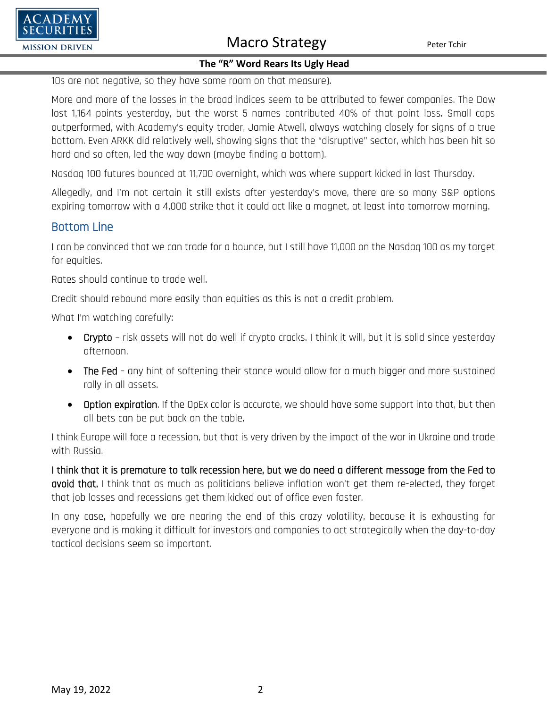

#### **The "R" Word Rears Its Ugly Head**

10s are not negative, so they have some room on that measure).

More and more of the losses in the broad indices seem to be attributed to fewer companies. The Dow lost 1,164 points yesterday, but the worst 5 names contributed 40% of that point loss. Small caps outperformed, with Academy's equity trader, Jamie Atwell, always watching closely for signs of a true bottom. Even ARKK did relatively well, showing signs that the "disruptive" sector, which has been hit so hard and so often, led the way down (maybe finding a bottom).

Nasdaq 100 futures bounced at 11,700 overnight, which was where support kicked in last Thursday.

Allegedly, and I'm not certain it still exists after yesterday's move, there are so many S&P options expiring tomorrow with a 4,000 strike that it could act like a magnet, at least into tomorrow morning.

## Bottom Line

'ADEMY

**MISSION DRIVEN** 

I can be convinced that we can trade for a bounce, but I still have 11,000 on the Nasdaq 100 as my target for equities.

Rates should continue to trade well.

Credit should rebound more easily than equities as this is not a credit problem.

What I'm watching carefully:

- Crypto risk assets will not do well if crypto cracks. I think it will, but it is solid since yesterday afternoon.
- The Fed any hint of softening their stance would allow for a much bigger and more sustained rally in all assets.
- Option expiration. If the OpEx color is accurate, we should have some support into that, but then all bets can be put back on the table.

I think Europe will face a recession, but that is very driven by the impact of the war in Ukraine and trade with Russia.

I think that it is premature to talk recession here, but we do need a different message from the Fed to avoid that. I think that as much as politicians believe inflation won't get them re-elected, they forget that job losses and recessions get them kicked out of office even faster.

In any case, hopefully we are nearing the end of this crazy volatility, because it is exhausting for everyone and is making it difficult for investors and companies to act strategically when the day-to-day tactical decisions seem so important.